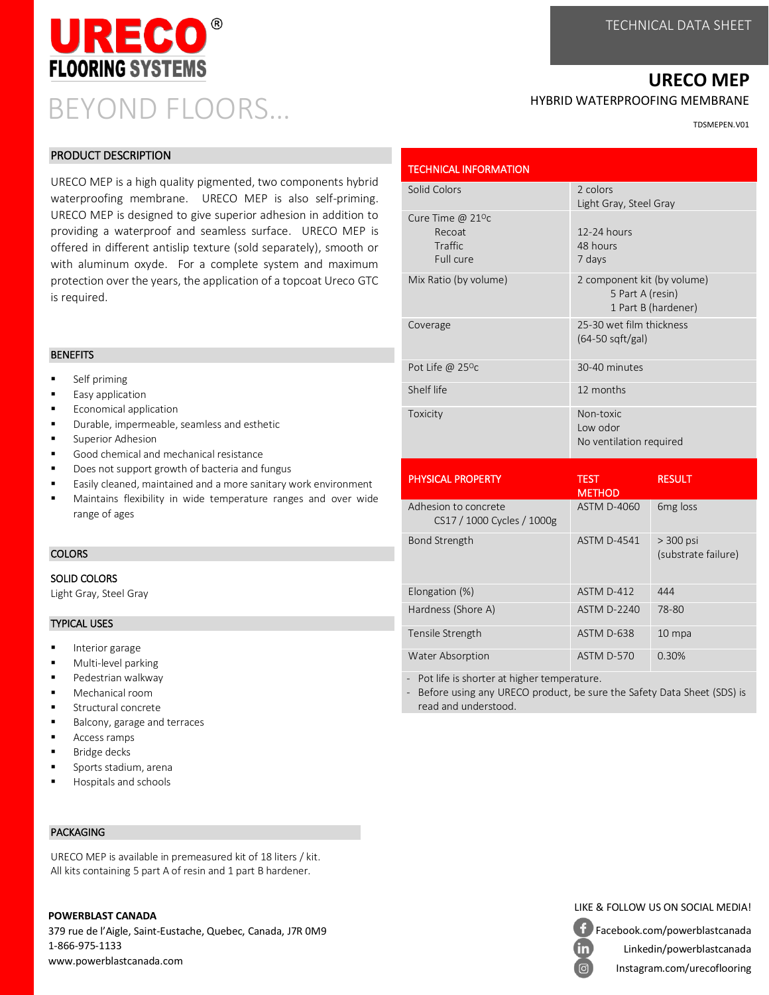### **URECO MEP**

#### HYBRID WATERPROOFING MEMBRANE

TDSMEPEN.V01

| <b>PRODUCT DESCRIPTION</b> |  |
|----------------------------|--|
|----------------------------|--|

BEYOND FLOORS…

13560

**FLOORING SYSTEMS** 

URECO MEP is a high quality pigmented, two components hybrid waterproofing membrane. URECO MEP is also self-priming. URECO MEP is designed to give superior adhesion in addition to providing a waterproof and seamless surface. URECO MEP is offered in different antislip texture (sold separately), smooth or with aluminum oxyde. For a complete system and maximum protection over the years, the application of a topcoat Ureco GTC is required.

#### **BENEFITS**

- Self priming
- Easy application
- Economical application
- Durable, impermeable, seamless and esthetic
- Superior Adhesion
- Good chemical and mechanical resistance
- Does not support growth of bacteria and fungus
- Easily cleaned, maintained and a more sanitary work environment
- Maintains flexibility in wide temperature ranges and over wide range of ages

#### **COLORS**

#### SOLID COLORS

Light Gray, Steel Gray

#### TYPICAL USES

- Interior garage
- Multi-level parking
- Pedestrian walkway
- Mechanical room
- Structural concrete
- Balcony, garage and terraces
- Access ramps
- Bridge decks
- Sports stadium, arena
- Hospitals and schools

#### PACKAGING

URECO MEP is available in premeasured kit of 18 liters / kit. All kits containing 5 part A of resin and 1 part B hardener.

#### **POWERBLAST CANADA**

379 rue de l'Aigle, Saint-Eustache, Quebec, Canada, J7R 0M9 1-866-975-1133 www.powerblastcanada.com

| <b>TECHNICAL INFORMATION</b>                                 |                                                                        |                                  |  |
|--------------------------------------------------------------|------------------------------------------------------------------------|----------------------------------|--|
| Solid Colors                                                 | 2 colors<br>Light Gray, Steel Gray                                     |                                  |  |
| Cure Time @ $21^{\circ}$ c<br>Recoat<br>Traffic<br>Full cure | 12-24 hours<br>48 hours<br>7 days                                      |                                  |  |
| Mix Ratio (by volume)                                        | 2 component kit (by volume)<br>5 Part A (resin)<br>1 Part B (hardener) |                                  |  |
| Coverage                                                     | 25-30 wet film thickness<br>$(64-50 \text{ sqft/gal})$                 |                                  |  |
| Pot Life @ 25°c                                              | 30-40 minutes                                                          |                                  |  |
| Shelf life                                                   | 12 months                                                              |                                  |  |
| Toxicity                                                     | Non-toxic<br>Low odor<br>No ventilation required                       |                                  |  |
| <b>PHYSICAL PROPERTY</b>                                     | <b>TEST</b><br><b>METHOD</b>                                           | <b>RESULT</b>                    |  |
| Adhesion to concrete<br>CS17 / 1000 Cycles / 1000g           | <b>ASTM D-4060</b>                                                     | 6 <sub>mg</sub> loss             |  |
| <b>Bond Strength</b>                                         | <b>ASTM D-4541</b>                                                     | > 300 psi<br>(substrate failure) |  |
| Elongation (%)                                               | ASTM D-412                                                             | 444                              |  |
| Hardness (Shore A)                                           | <b>ASTM D-2240</b>                                                     | 78-80                            |  |
| Tensile Strength                                             | ASTM D-638                                                             | 10 mpa                           |  |
| <b>Water Absorption</b>                                      | ASTM D-570                                                             | 0.30%                            |  |

- Pot life is shorter at higher temperature.

- Before using any URECO product, be sure the Safety Data Sheet (SDS) is read and understood.